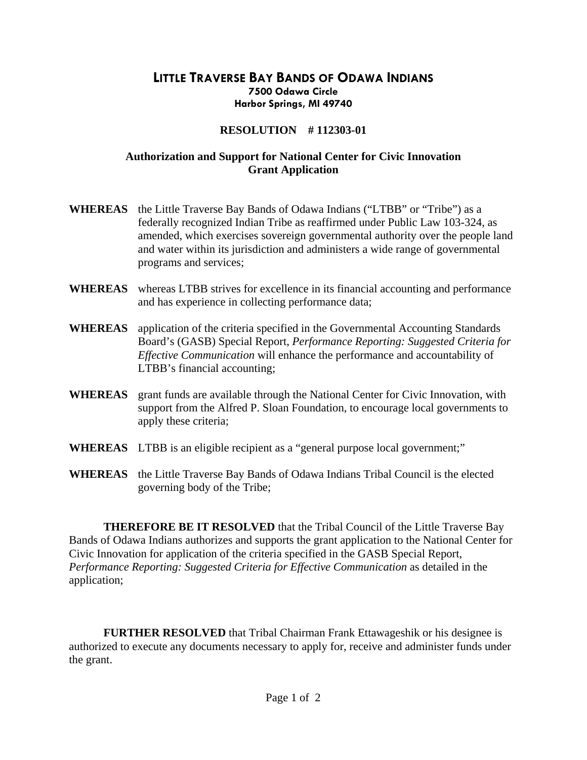## **LITTLE TRAVERSE BAY BANDS OF ODAWA INDIANS 7500 Odawa Circle Harbor Springs, MI 49740**

## **RESOLUTION # 112303-01**

## **Authorization and Support for National Center for Civic Innovation Grant Application**

- **WHEREAS** the Little Traverse Bay Bands of Odawa Indians ("LTBB" or "Tribe") as a federally recognized Indian Tribe as reaffirmed under Public Law 103-324, as amended, which exercises sovereign governmental authority over the people land and water within its jurisdiction and administers a wide range of governmental programs and services;
- **WHEREAS** whereas LTBB strives for excellence in its financial accounting and performance and has experience in collecting performance data;
- **WHEREAS** application of the criteria specified in the Governmental Accounting Standards Board's (GASB) Special Report, *Performance Reporting: Suggested Criteria for Effective Communication* will enhance the performance and accountability of LTBB's financial accounting;
- **WHEREAS** grant funds are available through the National Center for Civic Innovation, with support from the Alfred P. Sloan Foundation, to encourage local governments to apply these criteria;
- **WHEREAS** LTBB is an eligible recipient as a "general purpose local government;"
- **WHEREAS** the Little Traverse Bay Bands of Odawa Indians Tribal Council is the elected governing body of the Tribe;

 **THEREFORE BE IT RESOLVED** that the Tribal Council of the Little Traverse Bay Bands of Odawa Indians authorizes and supports the grant application to the National Center for Civic Innovation for application of the criteria specified in the GASB Special Report, *Performance Reporting: Suggested Criteria for Effective Communication* as detailed in the application;

**FURTHER RESOLVED** that Tribal Chairman Frank Ettawageshik or his designee is authorized to execute any documents necessary to apply for, receive and administer funds under the grant.